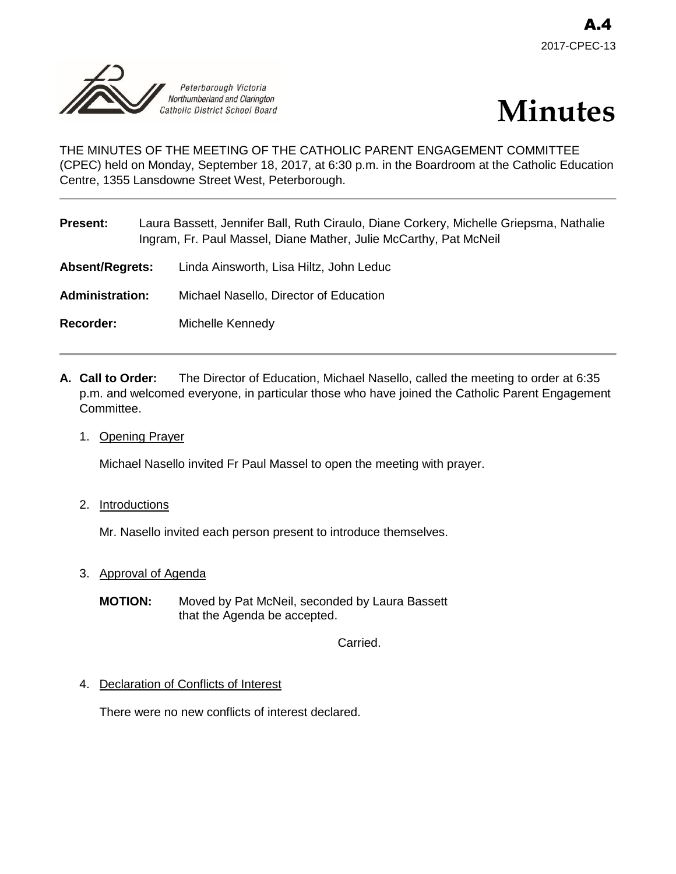



# THE MINUTES OF THE MEETING OF THE CATHOLIC PARENT ENGAGEMENT COMMITTEE (CPEC) held on Monday, September 18, 2017, at 6:30 p.m. in the Boardroom at the Catholic Education Centre, 1355 Lansdowne Street West, Peterborough.

| <b>Present:</b>        | Laura Bassett, Jennifer Ball, Ruth Ciraulo, Diane Corkery, Michelle Griepsma, Nathalie<br>Ingram, Fr. Paul Massel, Diane Mather, Julie McCarthy, Pat McNeil |                                         |
|------------------------|-------------------------------------------------------------------------------------------------------------------------------------------------------------|-----------------------------------------|
| <b>Absent/Regrets:</b> |                                                                                                                                                             | Linda Ainsworth, Lisa Hiltz, John Leduc |
| <b>Administration:</b> |                                                                                                                                                             | Michael Nasello, Director of Education  |
| <b>Recorder:</b>       |                                                                                                                                                             | Michelle Kennedy                        |
|                        |                                                                                                                                                             |                                         |

- **A. Call to Order:** The Director of Education, Michael Nasello, called the meeting to order at 6:35 p.m. and welcomed everyone, in particular those who have joined the Catholic Parent Engagement Committee.
	- 1. Opening Prayer

Michael Nasello invited Fr Paul Massel to open the meeting with prayer.

2. Introductions

Mr. Nasello invited each person present to introduce themselves.

- 3. Approval of Agenda
	- **MOTION:** Moved by Pat McNeil, seconded by Laura Bassett that the Agenda be accepted.

Carried.

4. Declaration of Conflicts of Interest

There were no new conflicts of interest declared.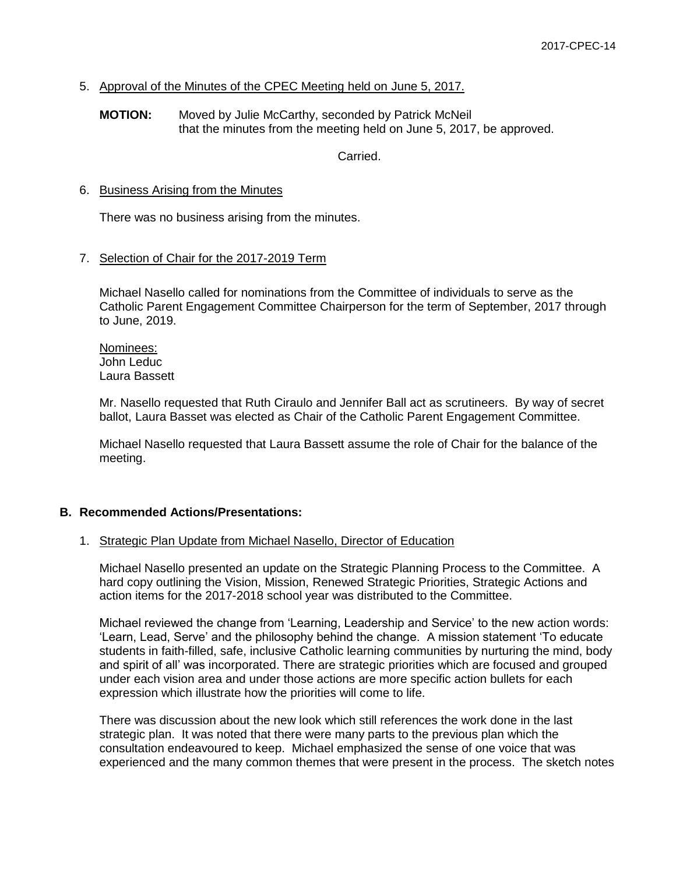## 5. Approval of the Minutes of the CPEC Meeting held on June 5, 2017.

### **MOTION:** Moved by Julie McCarthy, seconded by Patrick McNeil that the minutes from the meeting held on June 5, 2017, be approved.

Carried.

### 6. Business Arising from the Minutes

There was no business arising from the minutes.

## 7. Selection of Chair for the 2017-2019 Term

Michael Nasello called for nominations from the Committee of individuals to serve as the Catholic Parent Engagement Committee Chairperson for the term of September, 2017 through to June, 2019.

Nominees: John Leduc Laura Bassett

Mr. Nasello requested that Ruth Ciraulo and Jennifer Ball act as scrutineers. By way of secret ballot, Laura Basset was elected as Chair of the Catholic Parent Engagement Committee.

Michael Nasello requested that Laura Bassett assume the role of Chair for the balance of the meeting.

### **B. Recommended Actions/Presentations:**

### 1. Strategic Plan Update from Michael Nasello, Director of Education

Michael Nasello presented an update on the Strategic Planning Process to the Committee. A hard copy outlining the Vision, Mission, Renewed Strategic Priorities, Strategic Actions and action items for the 2017-2018 school year was distributed to the Committee.

Michael reviewed the change from 'Learning, Leadership and Service' to the new action words: 'Learn, Lead, Serve' and the philosophy behind the change. A mission statement 'To educate students in faith-filled, safe, inclusive Catholic learning communities by nurturing the mind, body and spirit of all' was incorporated. There are strategic priorities which are focused and grouped under each vision area and under those actions are more specific action bullets for each expression which illustrate how the priorities will come to life.

There was discussion about the new look which still references the work done in the last strategic plan. It was noted that there were many parts to the previous plan which the consultation endeavoured to keep. Michael emphasized the sense of one voice that was experienced and the many common themes that were present in the process. The sketch notes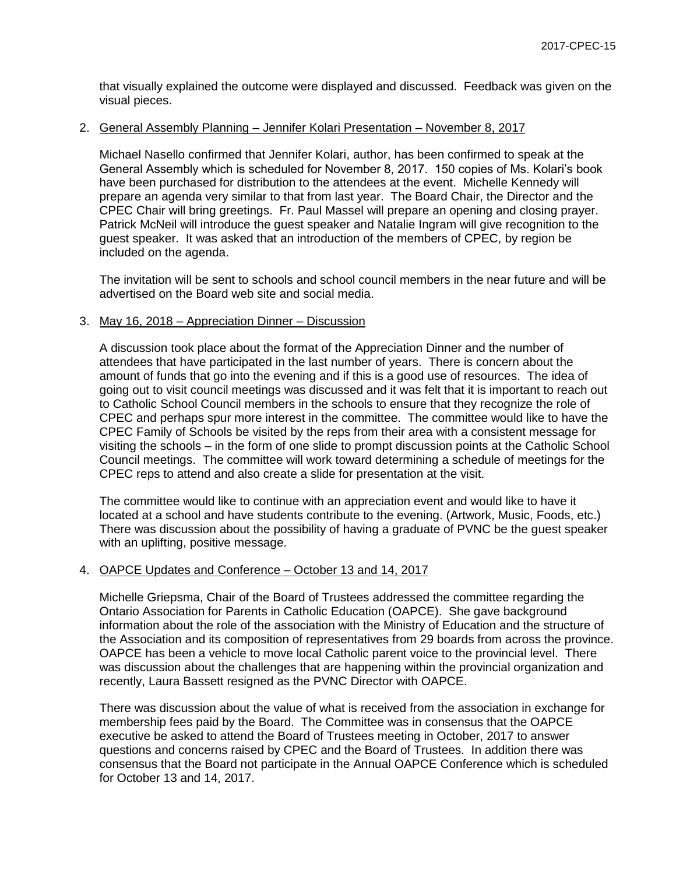that visually explained the outcome were displayed and discussed. Feedback was given on the visual pieces.

## 2. General Assembly Planning – Jennifer Kolari Presentation – November 8, 2017

Michael Nasello confirmed that Jennifer Kolari, author, has been confirmed to speak at the General Assembly which is scheduled for November 8, 2017. 150 copies of Ms. Kolari's book have been purchased for distribution to the attendees at the event. Michelle Kennedy will prepare an agenda very similar to that from last year. The Board Chair, the Director and the CPEC Chair will bring greetings. Fr. Paul Massel will prepare an opening and closing prayer. Patrick McNeil will introduce the guest speaker and Natalie Ingram will give recognition to the guest speaker. It was asked that an introduction of the members of CPEC, by region be included on the agenda.

The invitation will be sent to schools and school council members in the near future and will be advertised on the Board web site and social media.

### 3. May 16, 2018 – Appreciation Dinner – Discussion

A discussion took place about the format of the Appreciation Dinner and the number of attendees that have participated in the last number of years. There is concern about the amount of funds that go into the evening and if this is a good use of resources. The idea of going out to visit council meetings was discussed and it was felt that it is important to reach out to Catholic School Council members in the schools to ensure that they recognize the role of CPEC and perhaps spur more interest in the committee. The committee would like to have the CPEC Family of Schools be visited by the reps from their area with a consistent message for visiting the schools – in the form of one slide to prompt discussion points at the Catholic School Council meetings. The committee will work toward determining a schedule of meetings for the CPEC reps to attend and also create a slide for presentation at the visit.

The committee would like to continue with an appreciation event and would like to have it located at a school and have students contribute to the evening. (Artwork, Music, Foods, etc.) There was discussion about the possibility of having a graduate of PVNC be the guest speaker with an uplifting, positive message.

### 4. OAPCE Updates and Conference – October 13 and 14, 2017

Michelle Griepsma, Chair of the Board of Trustees addressed the committee regarding the Ontario Association for Parents in Catholic Education (OAPCE). She gave background information about the role of the association with the Ministry of Education and the structure of the Association and its composition of representatives from 29 boards from across the province. OAPCE has been a vehicle to move local Catholic parent voice to the provincial level. There was discussion about the challenges that are happening within the provincial organization and recently, Laura Bassett resigned as the PVNC Director with OAPCE.

There was discussion about the value of what is received from the association in exchange for membership fees paid by the Board. The Committee was in consensus that the OAPCE executive be asked to attend the Board of Trustees meeting in October, 2017 to answer questions and concerns raised by CPEC and the Board of Trustees. In addition there was consensus that the Board not participate in the Annual OAPCE Conference which is scheduled for October 13 and 14, 2017.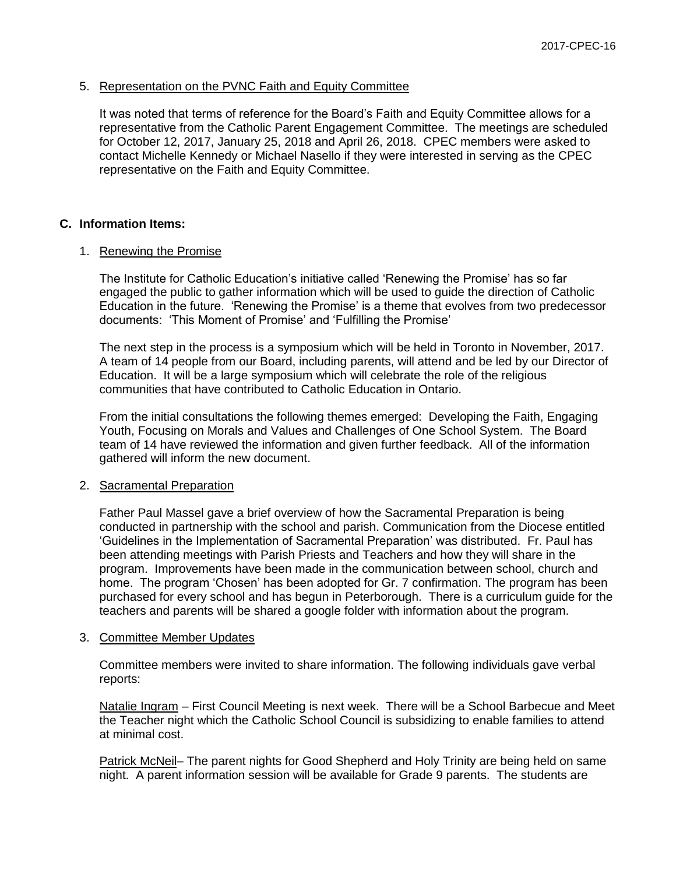### 5. Representation on the PVNC Faith and Equity Committee

It was noted that terms of reference for the Board's Faith and Equity Committee allows for a representative from the Catholic Parent Engagement Committee. The meetings are scheduled for October 12, 2017, January 25, 2018 and April 26, 2018. CPEC members were asked to contact Michelle Kennedy or Michael Nasello if they were interested in serving as the CPEC representative on the Faith and Equity Committee.

## **C. Information Items:**

## 1. Renewing the Promise

The Institute for Catholic Education's initiative called 'Renewing the Promise' has so far engaged the public to gather information which will be used to guide the direction of Catholic Education in the future. 'Renewing the Promise' is a theme that evolves from two predecessor documents: 'This Moment of Promise' and 'Fulfilling the Promise'

The next step in the process is a symposium which will be held in Toronto in November, 2017. A team of 14 people from our Board, including parents, will attend and be led by our Director of Education. It will be a large symposium which will celebrate the role of the religious communities that have contributed to Catholic Education in Ontario.

From the initial consultations the following themes emerged: Developing the Faith, Engaging Youth, Focusing on Morals and Values and Challenges of One School System. The Board team of 14 have reviewed the information and given further feedback. All of the information gathered will inform the new document.

### 2. Sacramental Preparation

Father Paul Massel gave a brief overview of how the Sacramental Preparation is being conducted in partnership with the school and parish. Communication from the Diocese entitled 'Guidelines in the Implementation of Sacramental Preparation' was distributed. Fr. Paul has been attending meetings with Parish Priests and Teachers and how they will share in the program. Improvements have been made in the communication between school, church and home. The program 'Chosen' has been adopted for Gr. 7 confirmation. The program has been purchased for every school and has begun in Peterborough. There is a curriculum guide for the teachers and parents will be shared a google folder with information about the program.

### 3. Committee Member Updates

Committee members were invited to share information. The following individuals gave verbal reports:

Natalie Ingram – First Council Meeting is next week. There will be a School Barbecue and Meet the Teacher night which the Catholic School Council is subsidizing to enable families to attend at minimal cost.

Patrick McNeil– The parent nights for Good Shepherd and Holy Trinity are being held on same night. A parent information session will be available for Grade 9 parents. The students are